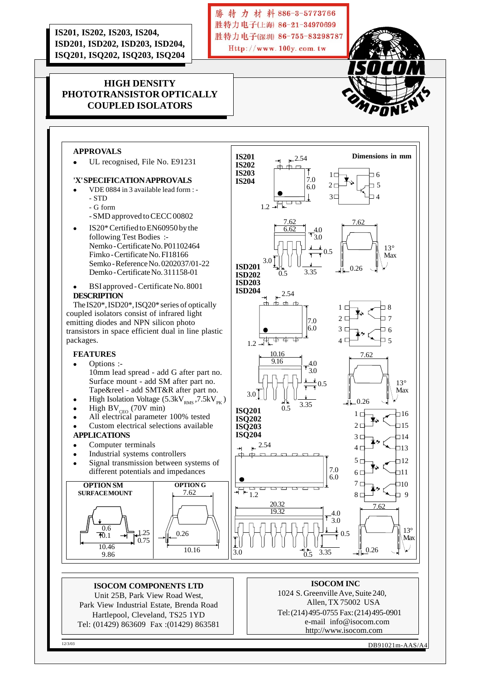**IS201, IS202, IS203, IS204, ISD201, ISD202, ISD203, ISD204, ISQ201, ISQ202, ISQ203, ISQ204**

# **HIGH DENSITY PHOTOTRANSISTOR OPTICALLY COUPLED ISOLATORS**

### **APPROVALS**

**<sup>l</sup>** UL recognised, File No. E91231

#### **'X' SPECIFICATION APPROVALS**

- VDE 0884 in 3 available lead form : -- STD
	- G form
	- SMD approved to CECC 00802
- <sup>l</sup> IS20\* Certified to EN60950 by the following Test Bodies :- Nemko - Certificate No. P01102464 Fimko - Certificate No. FI18166 Semko - Reference No. 0202037/01-22 Demko - Certificate No. 311158-01
- <sup>l</sup> BSI approved Certificate No. 8001 **DESCRIPTION**

The IS20\*, ISD20\*, ISQ20\* series of optically coupled isolators consist of infrared light emitting diodes and NPN silicon photo transistors in space efficient dual in line plastic packages.

### **FEATURES**

- Options :-10mm lead spread - add G after part no. Surface mount - add SM after part no. Tape&reel - add SMT&R after part no.
- High Isolation Voltage  $(5.3kV_{RMS}, 7.5kV_{PK})$
- High  $BV_{CEO}$  (70V min)
- $\bullet$  All electrical parameter 100% tested
- Custom electrical selections available

#### **APPLICATIONS**

- Computer terminals
- Industrial systems controllers
- Signal transmission between systems of different potentials and impedances



**ISOCOM COMPONENTS LTD** Unit 25B, Park View Road West, Park View Industrial Estate, Brenda Road Hartlepool, Cleveland, TS25 1YD Tel: (01429) 863609 Fax :(01429) 863581



勝特力材料886-3-5773766 胜特力电子(上海) 86-21-34970699 胜特力电子(深圳) 86-755-83298787 Http://www.100y.com.tw

#### **ISOCOM INC**

1024 S. Greenville Ave, Suite 240, Allen, TX 75002 USA Tel: (214) 495-0755 Fax: (214) 495-0901 e-mail info@isocom.com http://www.isocom.com

12/3/03 DB91021m-AAS/A4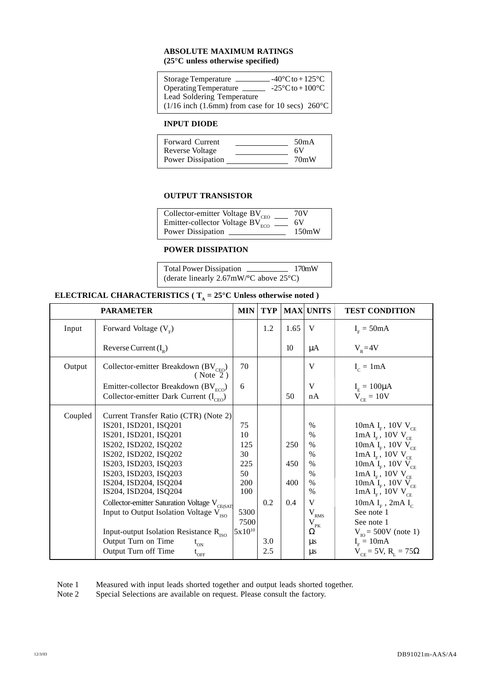### **ABSOLUTE MAXIMUM RATINGS (25°C unless otherwise specified)**

| $-40^{\circ}$ C to + 125 $^{\circ}$ C<br><b>Storage Temperature</b> |  |
|---------------------------------------------------------------------|--|
| $-25^{\circ}$ C to $+100^{\circ}$ C<br>Operating Temperature        |  |
| Lead Soldering Temperature                                          |  |
| $(1/16$ inch $(1.6$ mm) from case for 10 secs) $260^{\circ}$ C      |  |

## **INPUT DIODE**

| <b>Forward Current</b> | 50 <sub>m</sub> A |
|------------------------|-------------------|
| Reverse Voltage        | 6V                |
| Power Dissipation      | 70mW              |

## **OUTPUT TRANSISTOR**

| Collector-emitter Voltage BV <sub>CEO</sub>       | 70V   |
|---------------------------------------------------|-------|
| Emitter-collector Voltage $BV_{ECO}^{200}$ ______ | 6V    |
| Power Dissipation                                 | 150mW |

### **POWER DISSIPATION**

Total Power Dissipation 170mW (derate linearly 2.67mW/**°**C above 25°C)

# **ELECTRICAL CHARACTERISTICS** ( $T_A = 25^\circ$ **C** Unless otherwise noted )

|         | <b>PARAMETER</b>                                                                                                                                                                                                                                                                                                                                          | <b>MIN</b>                                                       | <b>TYP</b> |                          | <b>MAX UNITS</b>                                                                                   | <b>TEST CONDITION</b>                                                                                                                                                                                                                                                                          |
|---------|-----------------------------------------------------------------------------------------------------------------------------------------------------------------------------------------------------------------------------------------------------------------------------------------------------------------------------------------------------------|------------------------------------------------------------------|------------|--------------------------|----------------------------------------------------------------------------------------------------|------------------------------------------------------------------------------------------------------------------------------------------------------------------------------------------------------------------------------------------------------------------------------------------------|
| Input   | Forward Voltage $(VF)$                                                                                                                                                                                                                                                                                                                                    |                                                                  | 1.2        | 1.65                     | V                                                                                                  | $IF = 50mA$                                                                                                                                                                                                                                                                                    |
|         | Reverse Current $(I_p)$                                                                                                                                                                                                                                                                                                                                   |                                                                  |            | 10                       | μA                                                                                                 | $V_p = 4V$                                                                                                                                                                                                                                                                                     |
| Output  | Collector-emitter Breakdown (BV <sub>CEO</sub> )<br>( Note 2)                                                                                                                                                                                                                                                                                             | 70                                                               |            |                          | V                                                                                                  | $I_c = 1mA$                                                                                                                                                                                                                                                                                    |
|         | Emitter-collector Breakdown $(BV_{ECO})$                                                                                                                                                                                                                                                                                                                  | 6                                                                |            |                          | V                                                                                                  | $I_{\rm E} = 100 \mu A$                                                                                                                                                                                                                                                                        |
|         | Collector-emitter Dark Current $(I_{CFO})$                                                                                                                                                                                                                                                                                                                |                                                                  |            | 50                       | nA                                                                                                 | $\overline{V}_{CF} = 10V$                                                                                                                                                                                                                                                                      |
| Coupled | Current Transfer Ratio (CTR) (Note 2)<br>IS201, ISD201, ISQ201<br>IS201, ISD201, ISQ201<br>IS202, ISD202, ISQ202<br>IS202, ISD202, ISQ202<br>IS203, ISD203, ISQ203<br>IS203, ISD203, ISQ203<br>IS204, ISD204, ISQ204<br>IS204, ISD204, ISQ204<br>Collector-emitter Saturation Voltage V <sub>CE(SAT)</sub><br>Input to Output Isolation Voltage $V_{ISO}$ | 75<br>10<br>125<br>30<br>225<br>50<br>200<br>100<br>5300<br>7500 | 0.2        | 250<br>450<br>400<br>0.4 | $\%$<br>$\%$<br>$\%$<br>$\%$<br>$\%$<br>$\%$<br>$\%$<br>$\%$<br>V<br>$\rm V_{\rm RMS}$<br>$V_{PK}$ | 10mA $I_{F}$ , 10V $V_{CF}$<br>1mA $I_F$ , 10V $V_{CE}$<br>10mA $I_F$ , 10V $V_{CE}$<br>1mA $I_F$ , 10V $V_{CF}$<br>10mA $I_{F}$ , 10V $V_{CF}$<br>$1\text{mA}\ \text{I}_\text{\tiny F}$ , 10<br>V $\text{V}_\text{\tiny CE}$<br>$10mA$ $I_F$ , $10V$ $V_{CE}$<br>1mA $I_F$ , 10V $V_{CF}$<br> |
|         | Input-output Isolation Resistance $R_{\text{ISO}}$<br>Output Turn on Time<br>$t_{_{ON}}$<br>Output Turn off Time<br>$\iota_{\rm OFF}$                                                                                                                                                                                                                     | $5x10^{10}$                                                      | 3.0<br>2.5 |                          | Ω<br>$\mu$ s<br>$\mu$ s                                                                            | $V_{10} = 500V$ (note 1)<br>$IF = 10mA$<br>$V_{CF}$ = 5V, R <sub>τ</sub> = 75Ω                                                                                                                                                                                                                 |

Note 1 Measured with input leads shorted together and output leads shorted together.

Note 2 Special Selections are available on request. Please consult the factory.